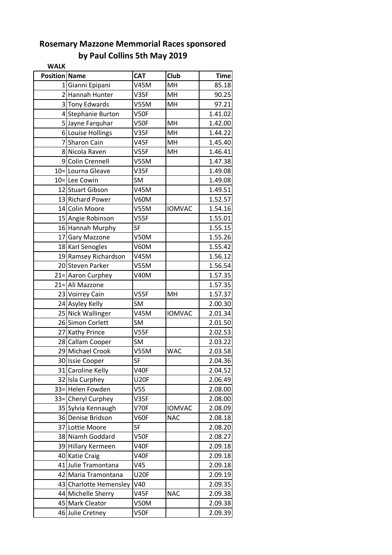## **Rosemary Mazzone Memmorial Races sponsored by Paul Collins 5th May 2019**

**WALK**

**Position Name CAT Club Time** 1 Gianni Epipani V45M MH 85.18 2 Hannah Hunter | V35F | MH | 90.25 3 Tony Edwards V55M MH 97.21 4 Stephanie Burton V50F | 1.41.02 5 Jayne Farquhar V50F MH 1.42.00 6 Louise Hollings V35F MH 1.44.22 7 Sharon Cain V45F MH 1.45.40 8 Nicola Raven V55F MH 1.46.41 9 Colin Crennell V55M  $\vert$  1.47.38 10= Lourna Gleave V35F 1.49.08 10= Lee Cowin SM | 1.49.08 12 Stuart Gibson V45M 1.49.51 13 Richard Power V60M 1.52.57 14 Colin Moore V55M IOMVAC 1.54.16 15 Angie Robinson V55F 1.55.01 16 Hannah Murphy SF 1.55.15 17 Gary Mazzone V50M 1.55.26 18 Karl Senogles V60M 1.55.42 19 Ramsey Richardson V45M 1.56.12 20 Steven Parker V55M | 1.56.54 21= Aaron Curphey V40M 1.57.35 21= Ali Mazzone 1.57.35 23 Voirrey Cain V55F MH 1.57.37 24 Asyley Kelly SM 1 2.00.30 25 Nick Wallinger | V45M | IOMVAC | 2.01.34 26 Simon Corlett SM | 2.01.50 27 Kathy Prince V55F 1 2.02.53 28 Callam Cooper SM | 2.03.22 29 Michael Crook V55M WAC 2.03.58 30 Issie Cooper SF ISF 2.04.36 31 Caroline Kelly V40F 2.04.52 32 Isla Curphey  $\vert$  U20F  $\vert$  2.06.49 33= Helen Fowden V55 2.08.00 33= Cheryl Curphey | V35F | 2.08.00 35 Sylvia Kennaugh V70F IOMVAC 2.08.09 36 Denise Bridson V60F NAC 2.08.18 37 Lottie Moore 5F Reserve Latin 1 2.08.20 38 Niamh Goddard V50F 2.08.27 39 Hillary Kermeen V40F 2.09.18 40 Katie Craig **V40F** | 2.09.18 41 Julie Tramontana V45 2.09.18 42 Maria Tramontana U20F 2.09.19 43 Charlotte Hemensley | V40 | 2.09.35 44 Michelle Sherry V45F NAC 2.09.38 45 Mark Cleator V50M 2.09.38 46 Julie Cretney V50F V60 V50 V50F V50F V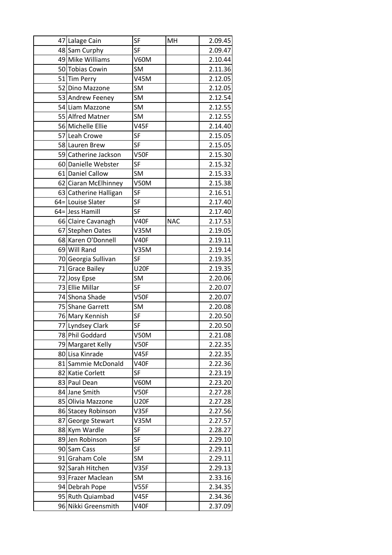|    | 47 Lalage Cain        | <b>SF</b>        | MH         | 2.09.45 |
|----|-----------------------|------------------|------------|---------|
|    | 48 Sam Curphy         | <b>SF</b>        |            | 2.09.47 |
|    | 49 Mike Williams      | <b>V60M</b>      |            | 2.10.44 |
|    | 50 Tobias Cowin       | <b>SM</b>        |            | 2.11.36 |
|    | 51 Tim Perry          | <b>V45M</b>      |            | 2.12.05 |
|    | 52 Dino Mazzone       | <b>SM</b>        |            | 2.12.05 |
|    | 53 Andrew Feeney      | <b>SM</b>        |            | 2.12.54 |
|    | 54 Liam Mazzone       | <b>SM</b>        |            | 2.12.55 |
|    | 55 Alfred Matner      | <b>SM</b>        |            | 2.12.55 |
|    | 56 Michelle Ellie     | <b>V45F</b>      |            | 2.14.40 |
|    | 57 Leah Crowe         | SF               |            | 2.15.05 |
|    | 58 Lauren Brew        | <b>SF</b>        |            | 2.15.05 |
|    | 59 Catherine Jackson  | V50F             |            | 2.15.30 |
|    | 60 Danielle Webster   | <b>SF</b>        |            | 2.15.32 |
|    | 61 Daniel Callow      | <b>SM</b>        |            | 2.15.33 |
|    | 62 Ciaran McElhinney  | <b>V50M</b>      |            | 2.15.38 |
|    | 63 Catherine Halligan | <b>SF</b>        |            | 2.16.51 |
|    | 64=Louise Slater      | SF               |            | 2.17.40 |
|    | 64= Jess Hamill       | SF               |            | 2.17.40 |
|    | 66 Claire Cavanagh    | <b>V40F</b>      | <b>NAC</b> | 2.17.53 |
|    | 67 Stephen Oates      | V35M             |            | 2.19.05 |
|    | 68 Karen O'Donnell    | <b>V40F</b>      |            | 2.19.11 |
|    | 69 Will Rand          | <b>V35M</b>      |            | 2.19.14 |
|    | 70 Georgia Sullivan   | <b>SF</b>        |            | 2.19.35 |
|    | 71 Grace Bailey       | <b>U20F</b>      |            | 2.19.35 |
|    | 72 Josy Epse          | <b>SM</b>        |            | 2.20.06 |
|    | 73 Ellie Millar       | <b>SF</b>        |            | 2.20.07 |
|    | 74 Shona Shade        | V50F             |            | 2.20.07 |
|    | 75 Shane Garrett      | <b>SM</b>        |            | 2.20.08 |
|    | 76 Mary Kennish       | <b>SF</b>        |            | 2.20.50 |
|    | 77 Lyndsey Clark      | SF               |            | 2.20.50 |
|    | 78 Phil Goddard       | <b>V50M</b>      |            | 2.21.08 |
|    | 79 Margaret Kelly     | V50F             |            | 2.22.35 |
|    | 80 Lisa Kinrade       | <b>V45F</b>      |            | 2.22.35 |
|    | 81 Sammie McDonald    | <b>V40F</b>      |            | 2.22.36 |
|    | 82 Katie Corlett      | SF               |            | 2.23.19 |
|    | 83 Paul Dean          | <b>V60M</b>      |            | 2.23.20 |
|    | 84 Jane Smith         | V50F             |            | 2.27.28 |
|    | 85 Olivia Mazzone     | <b>U20F</b>      |            | 2.27.28 |
|    | 86 Stacey Robinson    | V35F             |            | 2.27.56 |
| 87 | George Stewart        | <b>V35M</b>      |            | 2.27.57 |
|    | 88 Kym Wardle         | SF               |            | 2.28.27 |
|    | 89 Jen Robinson       | SF               |            | 2.29.10 |
|    | 90 Sam Cass           | SF               |            | 2.29.11 |
|    | 91 Graham Cole        | <b>SM</b>        |            | 2.29.11 |
|    | 92 Sarah Hitchen      | V35F             |            | 2.29.13 |
|    | 93 Frazer Maclean     | <b>SM</b>        |            | 2.33.16 |
|    | 94 Debrah Pope        | V55F             |            | 2.34.35 |
|    | 95 Ruth Quiambad      | V45F             |            | 2.34.36 |
|    | 96 Nikki Greensmith   | V <sub>40F</sub> |            | 2.37.09 |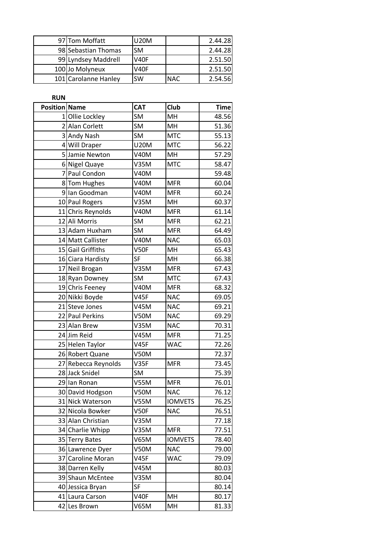| 97 Tom Moffatt       | <b>U20M</b> |            | 2.44.28 |
|----------------------|-------------|------------|---------|
| 98 Sebastian Thomas  | <b>SM</b>   |            | 2.44.28 |
| 99 Lyndsey Maddrell  | <b>V40F</b> |            | 2.51.50 |
| 100 Jo Molyneux      | <b>V40F</b> |            | 2.51.50 |
| 101 Carolanne Hanley | SW          | <b>NAC</b> | 2.54.56 |

| <b>RUN</b>           |                     |             |                |             |
|----------------------|---------------------|-------------|----------------|-------------|
| <b>Position Name</b> |                     | <b>CAT</b>  | Club           | <b>Time</b> |
|                      | 1 Ollie Lockley     | <b>SM</b>   | MH             | 48.56       |
|                      | 2 Alan Corlett      | <b>SM</b>   | MH             | 51.36       |
|                      | 3 Andy Nash         | <b>SM</b>   | <b>MTC</b>     | 55.13       |
|                      | 4 Will Draper       | <b>U20M</b> | <b>MTC</b>     | 56.22       |
|                      | 5 Jamie Newton      | <b>V40M</b> | MH             | 57.29       |
|                      | 6 Nigel Quaye       | V35M        | <b>MTC</b>     | 58.47       |
| 7                    | Paul Condon         | <b>V40M</b> |                | 59.48       |
| 8                    | <b>Tom Hughes</b>   | <b>V40M</b> | <b>MFR</b>     | 60.04       |
|                      | 9 Ian Goodman       | <b>V40M</b> | <b>MFR</b>     | 60.24       |
|                      | 10 Paul Rogers      | V35M        | MH             | 60.37       |
|                      | 11 Chris Reynolds   | <b>V40M</b> | <b>MFR</b>     | 61.14       |
|                      | 12 Ali Morris       | <b>SM</b>   | <b>MFR</b>     | 62.21       |
|                      | 13 Adam Huxham      | <b>SM</b>   | <b>MFR</b>     | 64.49       |
|                      | 14 Matt Callister   | <b>V40M</b> | <b>NAC</b>     | 65.03       |
|                      | 15 Gail Griffiths   | V50F        | MH             | 65.43       |
|                      | 16 Ciara Hardisty   | SF          | MH             | 66.38       |
|                      | 17 Neil Brogan      | <b>V35M</b> | <b>MFR</b>     | 67.43       |
|                      | 18 Ryan Downey      | <b>SM</b>   | <b>MTC</b>     | 67.43       |
|                      | 19 Chris Feeney     | <b>V40M</b> | <b>MFR</b>     | 68.32       |
|                      | 20 Nikki Boyde      | <b>V45F</b> | <b>NAC</b>     | 69.05       |
|                      | 21 Steve Jones      | <b>V45M</b> | <b>NAC</b>     | 69.21       |
|                      | 22 Paul Perkins     | <b>V50M</b> | <b>NAC</b>     | 69.29       |
|                      | 23 Alan Brew        | <b>V35M</b> | <b>NAC</b>     | 70.31       |
|                      | 24 Jim Reid         | <b>V45M</b> | <b>MFR</b>     | 71.25       |
|                      | 25 Helen Taylor     | <b>V45F</b> | <b>WAC</b>     | 72.26       |
|                      | 26 Robert Quane     | <b>V50M</b> |                | 72.37       |
|                      | 27 Rebecca Reynolds | V35F        | <b>MFR</b>     | 73.45       |
|                      | 28 Jack Snidel      | <b>SM</b>   |                | 75.39       |
|                      | 29 Ian Ronan        | <b>V55M</b> | <b>MFR</b>     | 76.01       |
|                      | 30 David Hodgson    | <b>V50M</b> | <b>NAC</b>     | 76.12       |
|                      | 31 Nick Waterson    | <b>V55M</b> | <b>IOMVETS</b> | 76.25       |
|                      | 32 Nicola Bowker    | V50F        | <b>NAC</b>     | 76.51       |
|                      | 33 Alan Christian   | V35M        |                | 77.18       |
|                      | 34 Charlie Whipp    | V35M        | <b>MFR</b>     | 77.51       |
|                      | 35 Terry Bates      | V65M        | <b>IOMVETS</b> | 78.40       |
|                      | 36 Lawrence Dyer    | V50M        | <b>NAC</b>     | 79.00       |
|                      | 37 Caroline Moran   | V45F        | <b>WAC</b>     | 79.09       |
|                      | 38 Darren Kelly     | V45M        |                | 80.03       |
|                      | 39 Shaun McEntee    | V35M        |                | 80.04       |
|                      | 40 Jessica Bryan    | <b>SF</b>   |                | 80.14       |
|                      | 41 Laura Carson     | <b>V40F</b> | MН             | 80.17       |
| 42                   | Les Brown           | <b>V65M</b> | MH             | 81.33       |
|                      |                     |             |                |             |